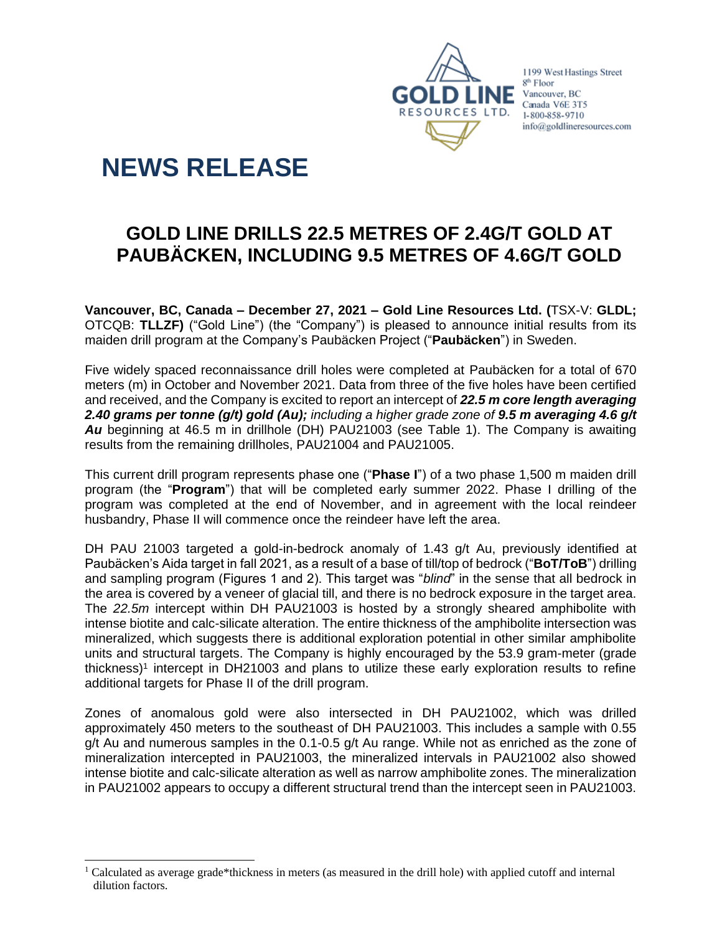

1199 West Hastings Street 8<sup>th</sup> Floor Vancouver, BC Canada V6E 3T5 1-800-858-9710 info@goldlineresources.com

# **NEWS RELEASE**

# **GOLD LINE DRILLS 22.5 METRES OF 2.4G/T GOLD AT PAUBÄCKEN, INCLUDING 9.5 METRES OF 4.6G/T GOLD**

**Vancouver, BC, Canada – December 27, 2021 – Gold Line Resources Ltd. (**TSX-V: **GLDL;**  OTCQB: **TLLZF)** ("Gold Line") (the "Company") is pleased to announce initial results from its maiden drill program at the Company's Paubäcken Project ("**Paubäcken**") in Sweden.

Five widely spaced reconnaissance drill holes were completed at Paubäcken for a total of 670 meters (m) in October and November 2021. Data from three of the five holes have been certified and received, and the Company is excited to report an intercept of *22.5 m core length averaging 2.40 grams per tonne (g/t) gold (Au); including a higher grade zone of 9.5 m averaging 4.6 g/t Au* beginning at 46.5 m in drillhole (DH) PAU21003 (see Table 1). The Company is awaiting results from the remaining drillholes, PAU21004 and PAU21005.

This current drill program represents phase one ("**Phase I**") of a two phase 1,500 m maiden drill program (the "**Program**") that will be completed early summer 2022. Phase I drilling of the program was completed at the end of November, and in agreement with the local reindeer husbandry, Phase II will commence once the reindeer have left the area.

DH PAU 21003 targeted a gold-in-bedrock anomaly of 1.43 g/t Au, previously identified at Paubäcken's Aida target in fall 2021, as a result of a base of till/top of bedrock ("**BoT/ToB**") drilling and sampling program (Figures 1 and 2). This target was "*blind*" in the sense that all bedrock in the area is covered by a veneer of glacial till, and there is no bedrock exposure in the target area. The *22.5m* intercept within DH PAU21003 is hosted by a strongly sheared amphibolite with intense biotite and calc-silicate alteration. The entire thickness of the amphibolite intersection was mineralized, which suggests there is additional exploration potential in other similar amphibolite units and structural targets. The Company is highly encouraged by the 53.9 gram-meter (grade thickness)<sup>1</sup> intercept in DH21003 and plans to utilize these early exploration results to refine additional targets for Phase II of the drill program.

Zones of anomalous gold were also intersected in DH PAU21002, which was drilled approximately 450 meters to the southeast of DH PAU21003. This includes a sample with 0.55 g/t Au and numerous samples in the 0.1-0.5 g/t Au range. While not as enriched as the zone of mineralization intercepted in PAU21003, the mineralized intervals in PAU21002 also showed intense biotite and calc-silicate alteration as well as narrow amphibolite zones. The mineralization in PAU21002 appears to occupy a different structural trend than the intercept seen in PAU21003.

<sup>1</sup> Calculated as average grade\*thickness in meters (as measured in the drill hole) with applied cutoff and internal dilution factors.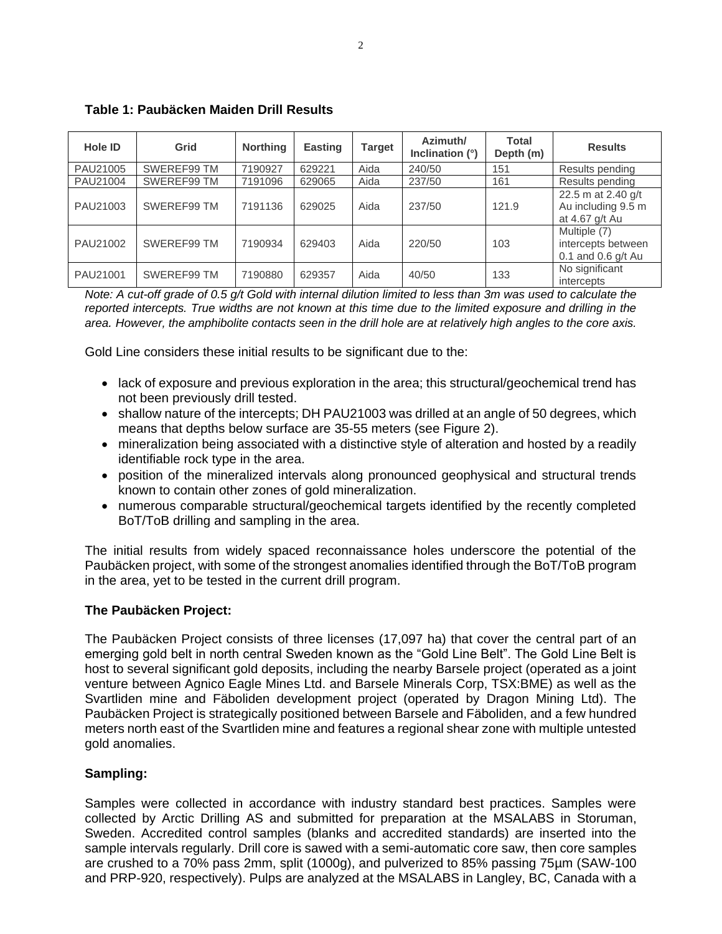| Hole ID  | Grid        | <b>Northing</b> | <b>Easting</b> | <b>Target</b> | Azimuth/<br>Inclination (°) | <b>Total</b><br>Depth (m) | <b>Results</b>                                             |
|----------|-------------|-----------------|----------------|---------------|-----------------------------|---------------------------|------------------------------------------------------------|
| PAU21005 | SWEREF99 TM | 7190927         | 629221         | Aida          | 240/50                      | 151                       | Results pending                                            |
| PAU21004 | SWEREF99 TM | 7191096         | 629065         | Aida          | 237/50                      | 161                       | Results pending                                            |
| PAU21003 | SWEREF99 TM | 7191136         | 629025         | Aida          | 237/50                      | 121.9                     | 22.5 m at 2.40 g/t<br>Au including 9.5 m<br>at 4.67 g/t Au |
| PAU21002 | SWEREF99 TM | 7190934         | 629403         | Aida          | 220/50                      | 103                       | Multiple (7)<br>intercepts between<br>0.1 and 0.6 $g/t$ Au |
| PAU21001 | SWEREF99 TM | 7190880         | 629357         | Aida          | 40/50                       | 133                       | No significant<br>intercepts                               |

# **Table 1: Paubäcken Maiden Drill Results**

*Note: A cut-off grade of 0.5 g/t Gold with internal dilution limited to less than 3m was used to calculate the reported intercepts. True widths are not known at this time due to the limited exposure and drilling in the area. However, the amphibolite contacts seen in the drill hole are at relatively high angles to the core axis.*

Gold Line considers these initial results to be significant due to the:

- lack of exposure and previous exploration in the area; this structural/geochemical trend has not been previously drill tested.
- shallow nature of the intercepts; DH PAU21003 was drilled at an angle of 50 degrees, which means that depths below surface are 35-55 meters (see Figure 2).
- mineralization being associated with a distinctive style of alteration and hosted by a readily identifiable rock type in the area.
- position of the mineralized intervals along pronounced geophysical and structural trends known to contain other zones of gold mineralization.
- numerous comparable structural/geochemical targets identified by the recently completed BoT/ToB drilling and sampling in the area.

The initial results from widely spaced reconnaissance holes underscore the potential of the Paubäcken project, with some of the strongest anomalies identified through the BoT/ToB program in the area, yet to be tested in the current drill program.

#### **The Paubäcken Project:**

The Paubäcken Project consists of three licenses (17,097 ha) that cover the central part of an emerging gold belt in north central Sweden known as the "Gold Line Belt". The Gold Line Belt is host to several significant gold deposits, including the nearby Barsele project (operated as a joint venture between Agnico Eagle Mines Ltd. and Barsele Minerals Corp, TSX:BME) as well as the Svartliden mine and Fäboliden development project (operated by Dragon Mining Ltd). The Paubäcken Project is strategically positioned between Barsele and Fäboliden, and a few hundred meters north east of the Svartliden mine and features a regional shear zone with multiple untested gold anomalies.

# **Sampling:**

Samples were collected in accordance with industry standard best practices. Samples were collected by Arctic Drilling AS and submitted for preparation at the MSALABS in Storuman, Sweden. Accredited control samples (blanks and accredited standards) are inserted into the sample intervals regularly. Drill core is sawed with a semi-automatic core saw, then core samples are crushed to a 70% pass 2mm, split (1000g), and pulverized to 85% passing 75µm (SAW-100 and PRP-920, respectively). Pulps are analyzed at the MSALABS in Langley, BC, Canada with a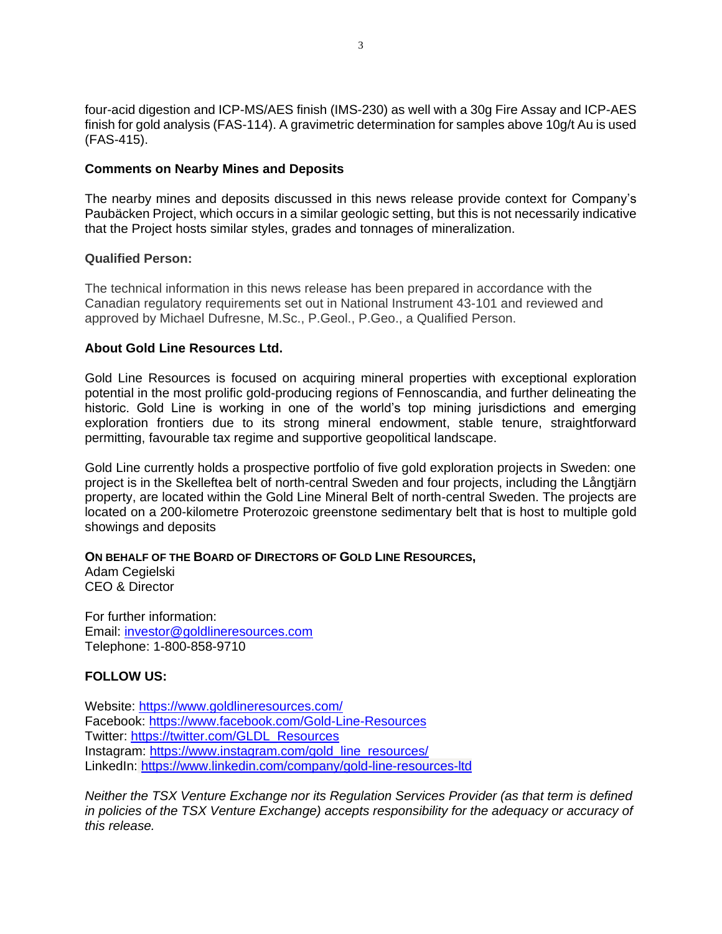four-acid digestion and ICP-MS/AES finish (IMS-230) as well with a 30g Fire Assay and ICP-AES finish for gold analysis (FAS-114). A gravimetric determination for samples above 10g/t Au is used (FAS-415).

### **Comments on Nearby Mines and Deposits**

The nearby mines and deposits discussed in this news release provide context for Company's Paubäcken Project, which occurs in a similar geologic setting, but this is not necessarily indicative that the Project hosts similar styles, grades and tonnages of mineralization.

#### **Qualified Person:**

The technical information in this news release has been prepared in accordance with the Canadian regulatory requirements set out in National Instrument 43-101 and reviewed and approved by Michael Dufresne, M.Sc., P.Geol., P.Geo., a Qualified Person.

#### **About Gold Line Resources Ltd.**

Gold Line Resources is focused on acquiring mineral properties with exceptional exploration potential in the most prolific gold-producing regions of Fennoscandia, and further delineating the historic. Gold Line is working in one of the world's top mining jurisdictions and emerging exploration frontiers due to its strong mineral endowment, stable tenure, straightforward permitting, favourable tax regime and supportive geopolitical landscape.

Gold Line currently holds a prospective portfolio of five gold exploration projects in Sweden: one project is in the Skelleftea belt of north-central Sweden and four projects, including the Långtjärn property, are located within the Gold Line Mineral Belt of north-central Sweden. The projects are located on a 200-kilometre Proterozoic greenstone sedimentary belt that is host to multiple gold showings and deposits

#### **ON BEHALF OF THE BOARD OF DIRECTORS OF GOLD LINE RESOURCES,**

Adam Cegielski CEO & Director

For further information: Email: [investor@goldlineresources.com](mailto:investor@goldlineresources.com) Telephone: 1-800-858-9710

# **FOLLOW US:**

Website:<https://www.goldlineresources.com/> Facebook:<https://www.facebook.com/Gold-Line-Resources> Twitter: [https://twitter.com/GLDL\\_Resources](https://twitter.com/GLDL_Resources) Instagram: [https://www.instagram.com/gold\\_line\\_resources/](https://www.instagram.com/gold_line_resources/) LinkedIn: <https://www.linkedin.com/company/gold-line-resources-ltd>

*Neither the TSX Venture Exchange nor its Regulation Services Provider (as that term is defined*  in policies of the TSX Venture Exchange) accepts responsibility for the adequacy or accuracy of *this release.*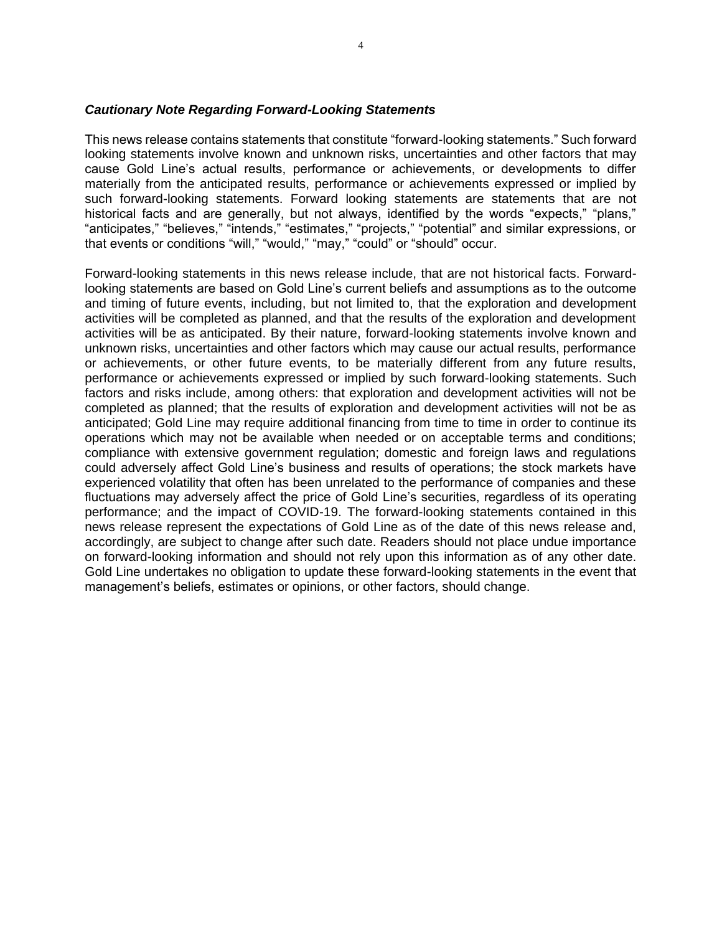#### *Cautionary Note Regarding Forward-Looking Statements*

This news release contains statements that constitute "forward-looking statements." Such forward looking statements involve known and unknown risks, uncertainties and other factors that may cause Gold Line's actual results, performance or achievements, or developments to differ materially from the anticipated results, performance or achievements expressed or implied by such forward-looking statements. Forward looking statements are statements that are not historical facts and are generally, but not always, identified by the words "expects," "plans," "anticipates," "believes," "intends," "estimates," "projects," "potential" and similar expressions, or that events or conditions "will," "would," "may," "could" or "should" occur.

Forward-looking statements in this news release include, that are not historical facts. Forwardlooking statements are based on Gold Line's current beliefs and assumptions as to the outcome and timing of future events, including, but not limited to, that the exploration and development activities will be completed as planned, and that the results of the exploration and development activities will be as anticipated. By their nature, forward-looking statements involve known and unknown risks, uncertainties and other factors which may cause our actual results, performance or achievements, or other future events, to be materially different from any future results, performance or achievements expressed or implied by such forward-looking statements. Such factors and risks include, among others: that exploration and development activities will not be completed as planned; that the results of exploration and development activities will not be as anticipated; Gold Line may require additional financing from time to time in order to continue its operations which may not be available when needed or on acceptable terms and conditions; compliance with extensive government regulation; domestic and foreign laws and regulations could adversely affect Gold Line's business and results of operations; the stock markets have experienced volatility that often has been unrelated to the performance of companies and these fluctuations may adversely affect the price of Gold Line's securities, regardless of its operating performance; and the impact of COVID-19. The forward-looking statements contained in this news release represent the expectations of Gold Line as of the date of this news release and, accordingly, are subject to change after such date. Readers should not place undue importance on forward-looking information and should not rely upon this information as of any other date. Gold Line undertakes no obligation to update these forward-looking statements in the event that management's beliefs, estimates or opinions, or other factors, should change.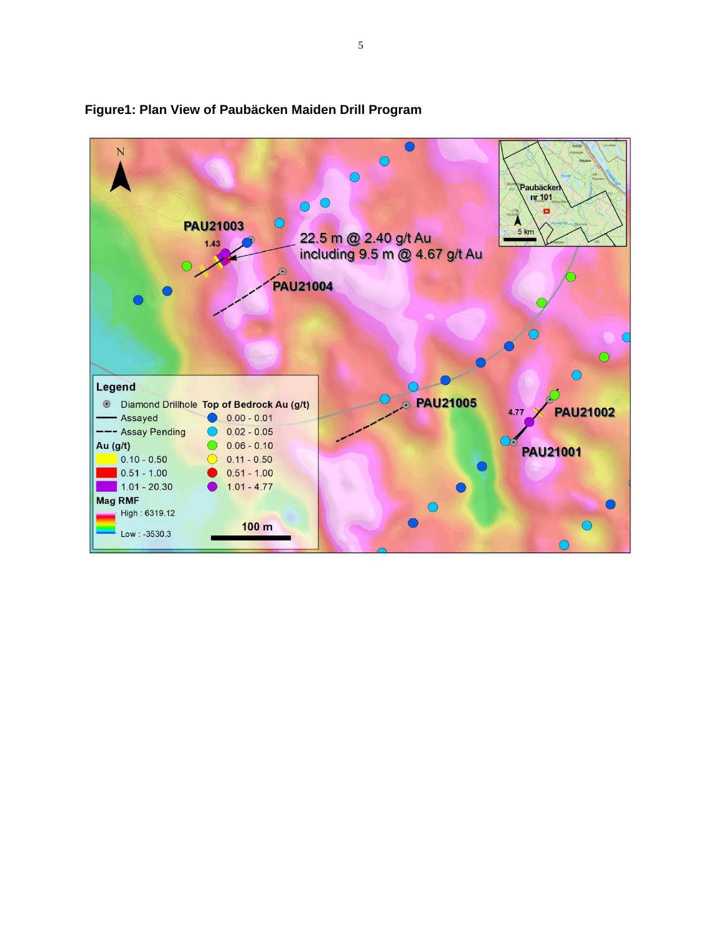

# **Figure1: Plan View of Paubäcken Maiden Drill Program**